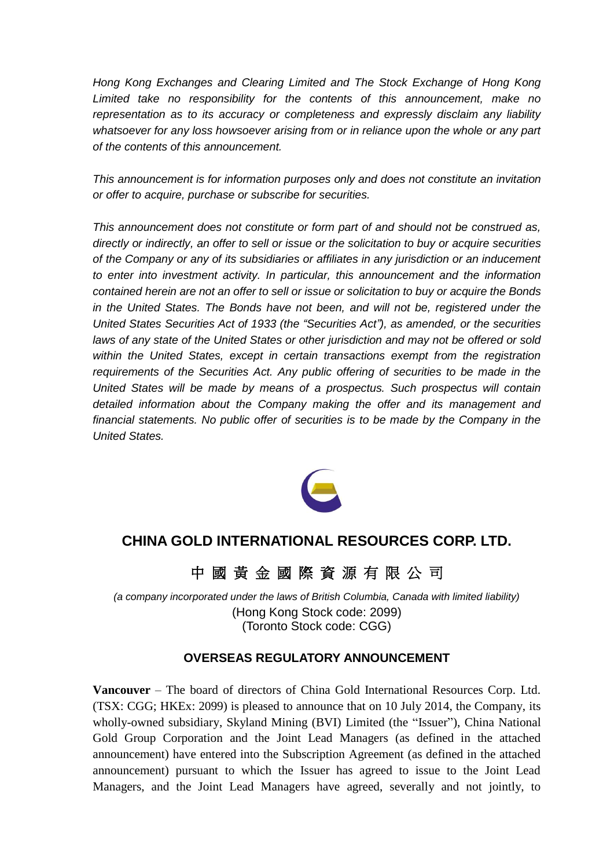*Hong Kong Exchanges and Clearing Limited and The Stock Exchange of Hong Kong Limited take no responsibility for the contents of this announcement, make no representation as to its accuracy or completeness and expressly disclaim any liability whatsoever for any loss howsoever arising from or in reliance upon the whole or any part of the contents of this announcement.*

*This announcement is for information purposes only and does not constitute an invitation or offer to acquire, purchase or subscribe for securities.*

*This announcement does not constitute or form part of and should not be construed as, directly or indirectly, an offer to sell or issue or the solicitation to buy or acquire securities of the Company or any of its subsidiaries or affiliates in any jurisdiction or an inducement to enter into investment activity. In particular, this announcement and the information contained herein are not an offer to sell or issue or solicitation to buy or acquire the Bonds in the United States. The Bonds have not been, and will not be, registered under the United States Securities Act of 1933 (the "Securities Act"), as amended, or the securities laws of any state of the United States or other jurisdiction and may not be offered or sold within the United States, except in certain transactions exempt from the registration requirements of the Securities Act. Any public offering of securities to be made in the United States will be made by means of a prospectus. Such prospectus will contain detailed information about the Company making the offer and its management and financial statements. No public offer of securities is to be made by the Company in the United States.*



# **CHINA GOLD INTERNATIONAL RESOURCES CORP. LTD.**

中 國 黃 金 國 際 資 源 有 限 公 司

*(a company incorporated under the laws of British Columbia, Canada with limited liability)* (Hong Kong Stock code: 2099) (Toronto Stock code: CGG)

## **OVERSEAS REGULATORY ANNOUNCEMENT**

**Vancouver** – The board of directors of China Gold International Resources Corp. Ltd. (TSX: CGG; HKEx: 2099) is pleased to announce that on 10 July 2014, the Company, its wholly-owned subsidiary, Skyland Mining (BVI) Limited (the "Issuer"), China National Gold Group Corporation and the Joint Lead Managers (as defined in the attached announcement) have entered into the Subscription Agreement (as defined in the attached announcement) pursuant to which the Issuer has agreed to issue to the Joint Lead Managers, and the Joint Lead Managers have agreed, severally and not jointly, to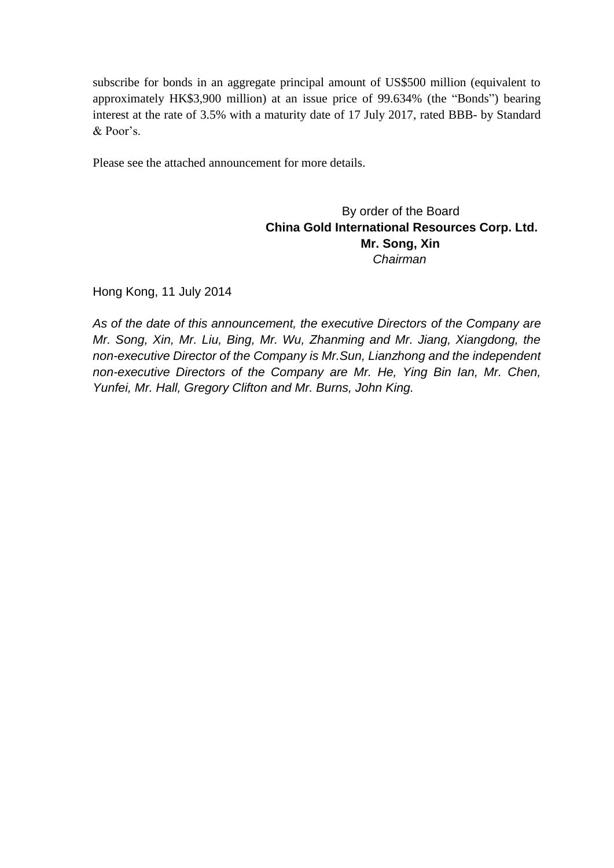subscribe for bonds in an aggregate principal amount of US\$500 million (equivalent to approximately HK\$3,900 million) at an issue price of 99.634% (the "Bonds") bearing interest at the rate of 3.5% with a maturity date of 17 July 2017, rated BBB- by Standard & Poor's.

Please see the attached announcement for more details.

By order of the Board **China Gold International Resources Corp. Ltd. Mr. Song, Xin** *Chairman*

Hong Kong, 11 July 2014

*As of the date of this announcement, the executive Directors of the Company are Mr. Song, Xin, Mr. Liu, Bing, Mr. Wu, Zhanming and Mr. Jiang, Xiangdong, the non-executive Director of the Company is Mr.Sun, Lianzhong and the independent non-executive Directors of the Company are Mr. He, Ying Bin Ian, Mr. Chen, Yunfei, Mr. Hall, Gregory Clifton and Mr. Burns, John King.*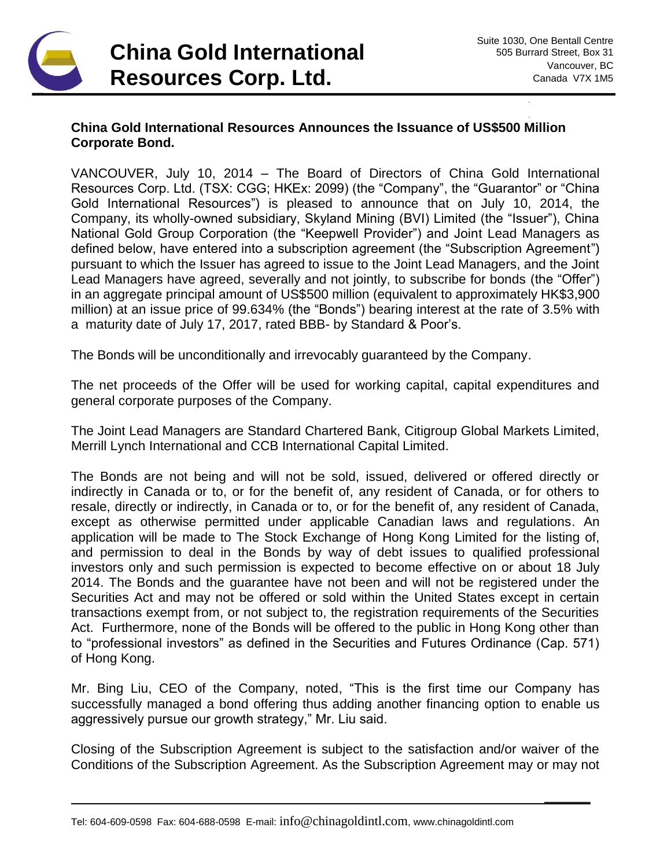

**\_\_\_\_\_\_**

### **China Gold International Resources Announces the Issuance of US\$500 Million Corporate Bond.**

VANCOUVER, July 10, 2014 – The Board of Directors of China Gold International Resources Corp. Ltd. (TSX: CGG; HKEx: 2099) (the "Company", the "Guarantor" or "China Gold International Resources") is pleased to announce that on July 10, 2014, the Company, its wholly-owned subsidiary, Skyland Mining (BVI) Limited (the "Issuer"), China National Gold Group Corporation (the "Keepwell Provider") and Joint Lead Managers as defined below, have entered into a subscription agreement (the "Subscription Agreement") pursuant to which the Issuer has agreed to issue to the Joint Lead Managers, and the Joint Lead Managers have agreed, severally and not jointly, to subscribe for bonds (the "Offer") in an aggregate principal amount of US\$500 million (equivalent to approximately HK\$3,900 million) at an issue price of 99.634% (the "Bonds") bearing interest at the rate of 3.5% with a maturity date of July 17, 2017, rated BBB- by Standard & Poor's.

The Bonds will be unconditionally and irrevocably guaranteed by the Company.

The net proceeds of the Offer will be used for working capital, capital expenditures and general corporate purposes of the Company.

The Joint Lead Managers are Standard Chartered Bank, Citigroup Global Markets Limited, Merrill Lynch International and CCB International Capital Limited.

The Bonds are not being and will not be sold, issued, delivered or offered directly or indirectly in Canada or to, or for the benefit of, any resident of Canada, or for others to resale, directly or indirectly, in Canada or to, or for the benefit of, any resident of Canada, except as otherwise permitted under applicable Canadian laws and regulations. An application will be made to The Stock Exchange of Hong Kong Limited for the listing of, and permission to deal in the Bonds by way of debt issues to qualified professional investors only and such permission is expected to become effective on or about 18 July 2014. The Bonds and the guarantee have not been and will not be registered under the Securities Act and may not be offered or sold within the United States except in certain transactions exempt from, or not subject to, the registration requirements of the Securities Act. Furthermore, none of the Bonds will be offered to the public in Hong Kong other than to "professional investors" as defined in the Securities and Futures Ordinance (Cap. 571) of Hong Kong.

Mr. Bing Liu, CEO of the Company, noted, "This is the first time our Company has successfully managed a bond offering thus adding another financing option to enable us aggressively pursue our growth strategy," Mr. Liu said.

Closing of the Subscription Agreement is subject to the satisfaction and/or waiver of the Conditions of the Subscription Agreement. As the Subscription Agreement may or may not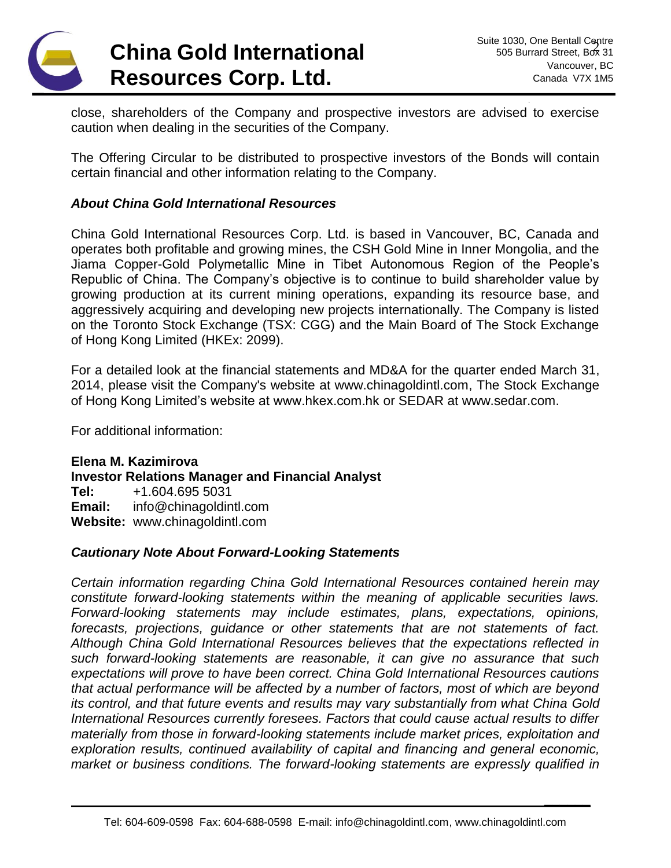

**\_\_\_\_\_\_**

close, shareholders of the Company and prospective investors are advised to exercise caution when dealing in the securities of the Company.

The Offering Circular to be distributed to prospective investors of the Bonds will contain certain financial and other information relating to the Company.

#### *About China Gold International Resources*

China Gold International Resources Corp. Ltd. is based in Vancouver, BC, Canada and operates both profitable and growing mines, the CSH Gold Mine in Inner Mongolia, and the Jiama Copper-Gold Polymetallic Mine in Tibet Autonomous Region of the People's Republic of China. The Company's objective is to continue to build shareholder value by growing production at its current mining operations, expanding its resource base, and aggressively acquiring and developing new projects internationally. The Company is listed on the Toronto Stock Exchange (TSX: CGG) and the Main Board of The Stock Exchange of Hong Kong Limited (HKEx: 2099).

For a detailed look at the financial statements and MD&A for the quarter ended March 31, 2014, please visit the Company's website at www.chinagoldintl.com, The Stock Exchange of Hong Kong Limited's website at www.hkex.com.hk or SEDAR at www.sedar.com.

For additional information:

**Elena M. Kazimirova Investor Relations Manager and Financial Analyst Tel:** +1.604.695 5031 **Email:** info@chinagoldintl.com **Website:** www.chinagoldintl.com

#### *Cautionary Note About Forward-Looking Statements*

*Certain information regarding China Gold International Resources contained herein may constitute forward-looking statements within the meaning of applicable securities laws. Forward-looking statements may include estimates, plans, expectations, opinions, forecasts, projections, guidance or other statements that are not statements of fact. Although China Gold International Resources believes that the expectations reflected in such forward-looking statements are reasonable, it can give no assurance that such expectations will prove to have been correct. China Gold International Resources cautions that actual performance will be affected by a number of factors, most of which are beyond its control, and that future events and results may vary substantially from what China Gold International Resources currently foresees. Factors that could cause actual results to differ materially from those in forward-looking statements include market prices, exploitation and exploration results, continued availability of capital and financing and general economic, market or business conditions. The forward-looking statements are expressly qualified in*